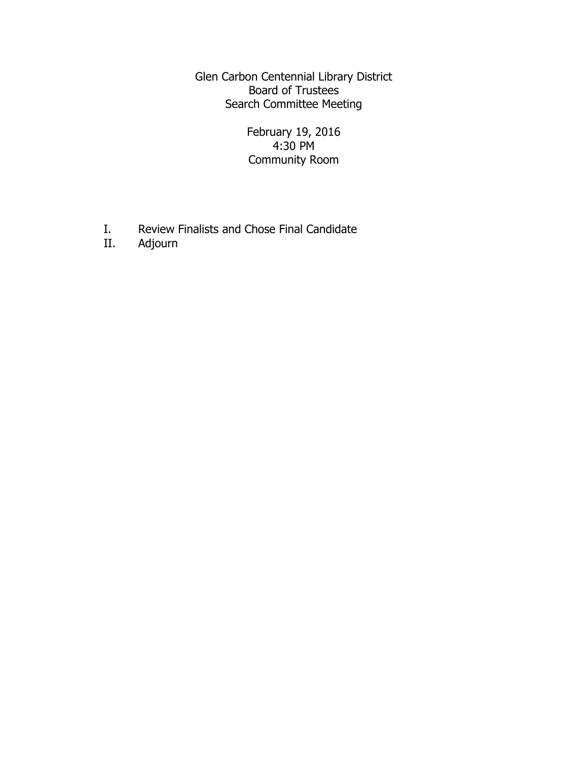Glen Carbon Centennial Library District Board of Trustees Search Committee Meeting

> February 19, 2016 4:30 PM Community Room

- I. Review Finalists and Chose Final Candidate<br>II. Adjourn
- Adjourn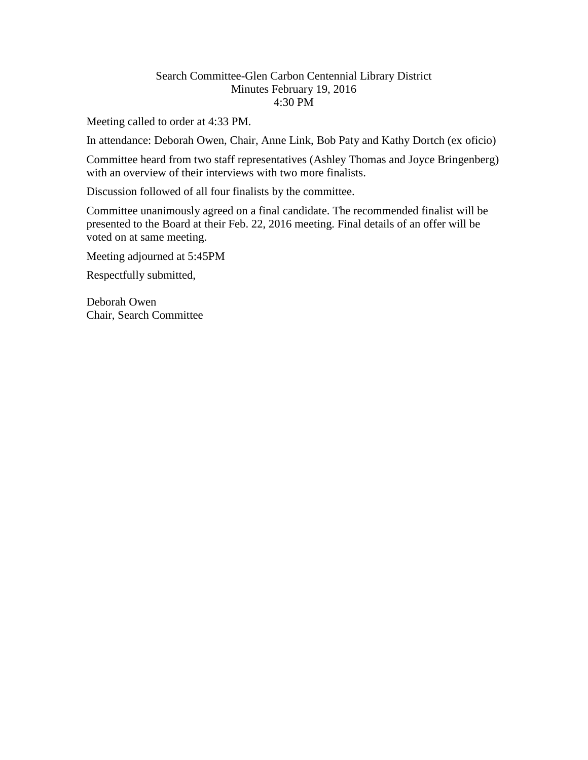#### Search Committee-Glen Carbon Centennial Library District Minutes February 19, 2016 4:30 PM

Meeting called to order at 4:33 PM.

In attendance: Deborah Owen, Chair, Anne Link, Bob Paty and Kathy Dortch (ex oficio)

Committee heard from two staff representatives (Ashley Thomas and Joyce Bringenberg) with an overview of their interviews with two more finalists.

Discussion followed of all four finalists by the committee.

Committee unanimously agreed on a final candidate. The recommended finalist will be presented to the Board at their Feb. 22, 2016 meeting. Final details of an offer will be voted on at same meeting.

Meeting adjourned at 5:45PM

Respectfully submitted,

Deborah Owen Chair, Search Committee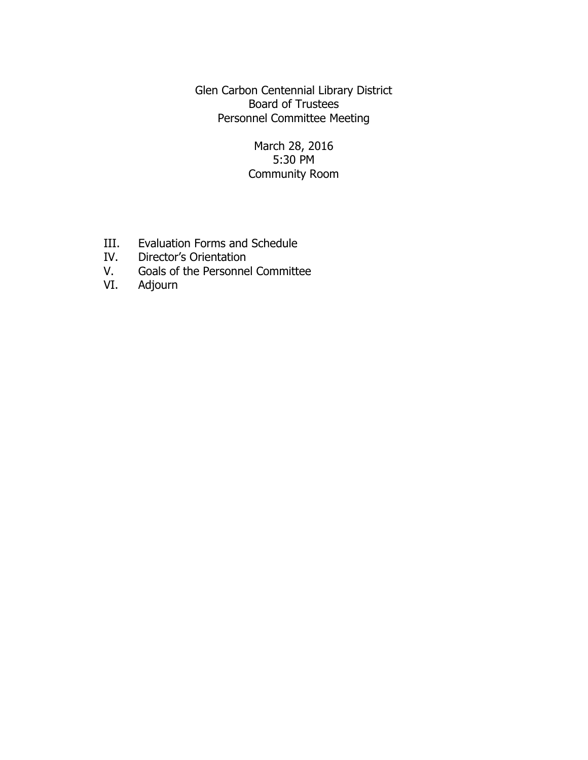Glen Carbon Centennial Library District Board of Trustees Personnel Committee Meeting

## March 28, 2016 5:30 PM Community Room

- III. Evaluation Forms and Schedule
- IV. Director's Orientation
- V. Goals of the Personnel Committee
- VI. Adjourn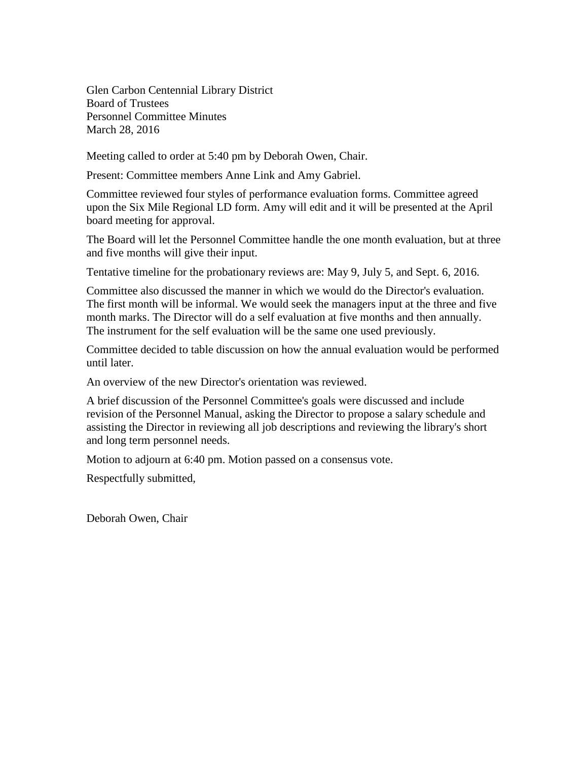Glen Carbon Centennial Library District Board of Trustees Personnel Committee Minutes March 28, 2016

Meeting called to order at 5:40 pm by Deborah Owen, Chair.

Present: Committee members Anne Link and Amy Gabriel.

Committee reviewed four styles of performance evaluation forms. Committee agreed upon the Six Mile Regional LD form. Amy will edit and it will be presented at the April board meeting for approval.

The Board will let the Personnel Committee handle the one month evaluation, but at three and five months will give their input.

Tentative timeline for the probationary reviews are: May 9, July 5, and Sept. 6, 2016.

Committee also discussed the manner in which we would do the Director's evaluation. The first month will be informal. We would seek the managers input at the three and five month marks. The Director will do a self evaluation at five months and then annually. The instrument for the self evaluation will be the same one used previously.

Committee decided to table discussion on how the annual evaluation would be performed until later.

An overview of the new Director's orientation was reviewed.

A brief discussion of the Personnel Committee's goals were discussed and include revision of the Personnel Manual, asking the Director to propose a salary schedule and assisting the Director in reviewing all job descriptions and reviewing the library's short and long term personnel needs.

Motion to adjourn at 6:40 pm. Motion passed on a consensus vote.

Respectfully submitted,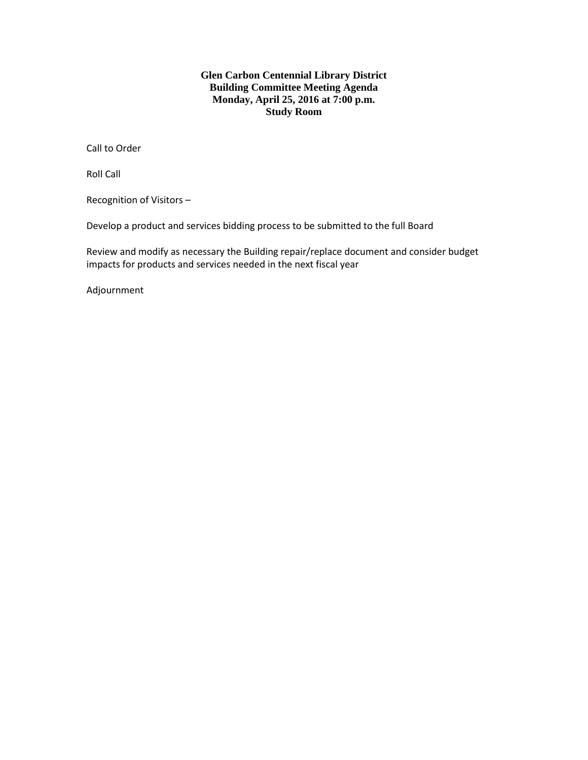#### **Glen Carbon Centennial Library District Building Committee Meeting Agenda Monday, April 25, 2016 at 7:00 p.m. Study Room**

Call to Order

Roll Call

Recognition of Visitors –

Develop a product and services bidding process to be submitted to the full Board

Review and modify as necessary the Building repair/replace document and consider budget impacts for products and services needed in the next fiscal year

Adjournment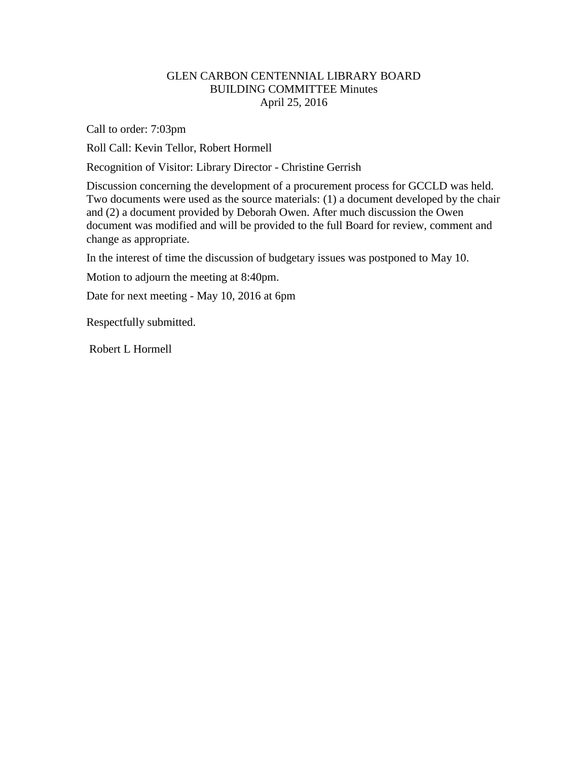### GLEN CARBON CENTENNIAL LIBRARY BOARD BUILDING COMMITTEE Minutes April 25, 2016

Call to order: 7:03pm

Roll Call: Kevin Tellor, Robert Hormell

Recognition of Visitor: Library Director - Christine Gerrish

Discussion concerning the development of a procurement process for GCCLD was held. Two documents were used as the source materials: (1) a document developed by the chair and (2) a document provided by Deborah Owen. After much discussion the Owen document was modified and will be provided to the full Board for review, comment and change as appropriate.

In the interest of time the discussion of budgetary issues was postponed to May 10.

Motion to adjourn the meeting at 8:40pm.

Date for next meeting - May 10, 2016 at 6pm

Respectfully submitted.

Robert L Hormell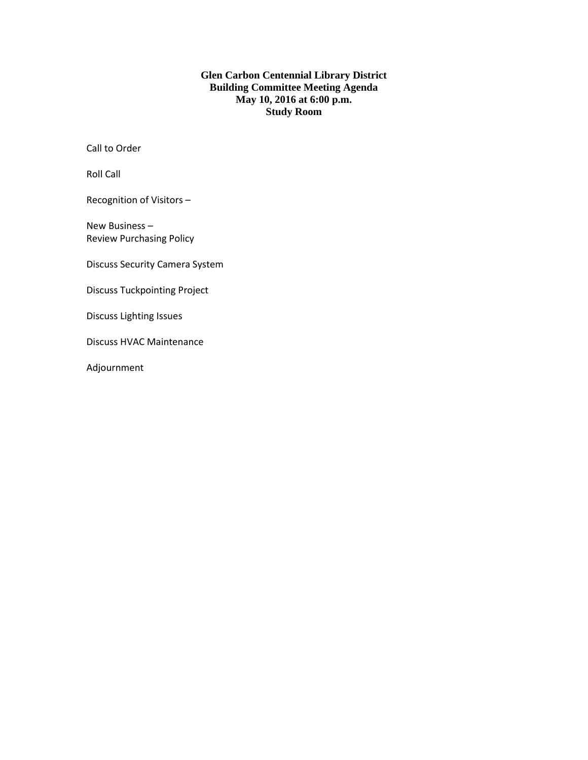#### **Glen Carbon Centennial Library District Building Committee Meeting Agenda May 10, 2016 at 6:00 p.m. Study Room**

Call to Order

Roll Call

Recognition of Visitors –

New Business – Review Purchasing Policy

Discuss Security Camera System

Discuss Tuckpointing Project

Discuss Lighting Issues

Discuss HVAC Maintenance

Adjournment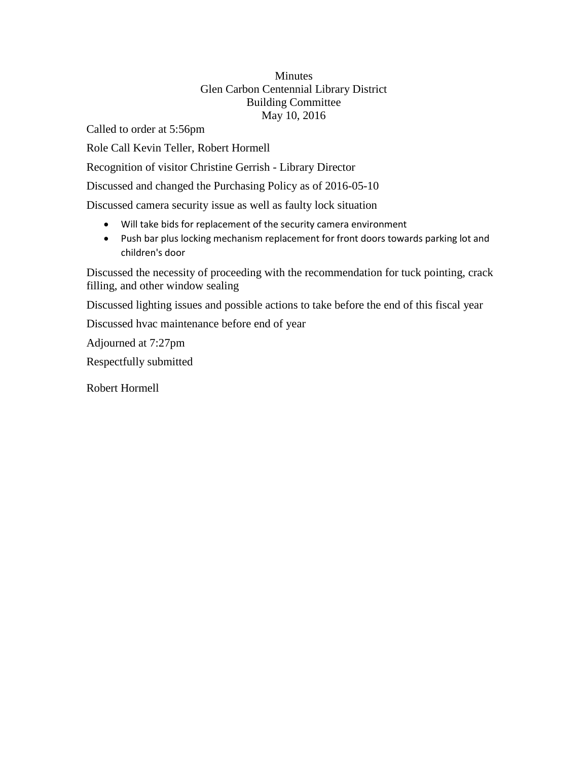### Minutes Glen Carbon Centennial Library District Building Committee May 10, 2016

Called to order at 5:56pm

Role Call Kevin Teller, Robert Hormell

Recognition of visitor Christine Gerrish - Library Director

Discussed and changed the Purchasing Policy as of 2016-05-10

Discussed camera security issue as well as faulty lock situation

- Will take bids for replacement of the security camera environment
- Push bar plus locking mechanism replacement for front doors towards parking lot and children's door

Discussed the necessity of proceeding with the recommendation for tuck pointing, crack filling, and other window sealing

Discussed lighting issues and possible actions to take before the end of this fiscal year

Discussed hvac maintenance before end of year

Adjourned at 7:27pm

Respectfully submitted

Robert Hormell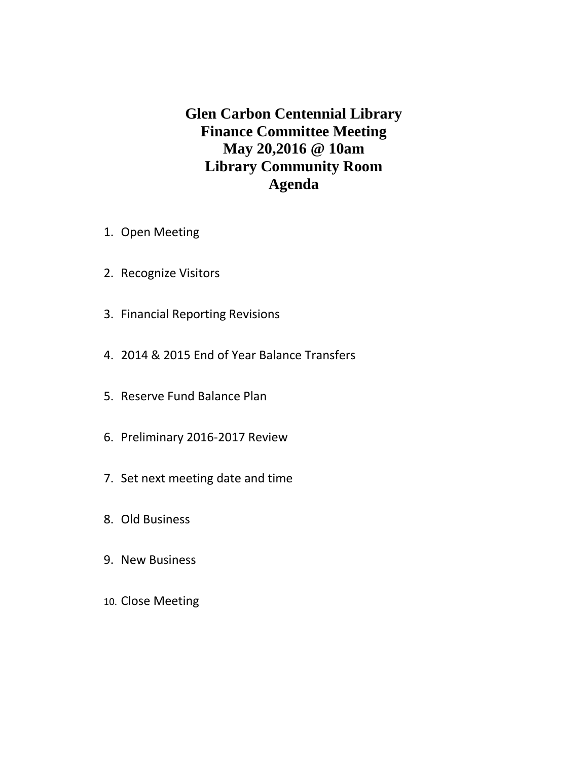**Glen Carbon Centennial Library Finance Committee Meeting May 20,2016 @ 10am Library Community Room Agenda**

- 1. Open Meeting
- 2. Recognize Visitors
- 3. Financial Reporting Revisions
- 4. 2014 & 2015 End of Year Balance Transfers
- 5. Reserve Fund Balance Plan
- 6. Preliminary 2016-2017 Review
- 7. Set next meeting date and time
- 8. Old Business
- 9. New Business
- 10. Close Meeting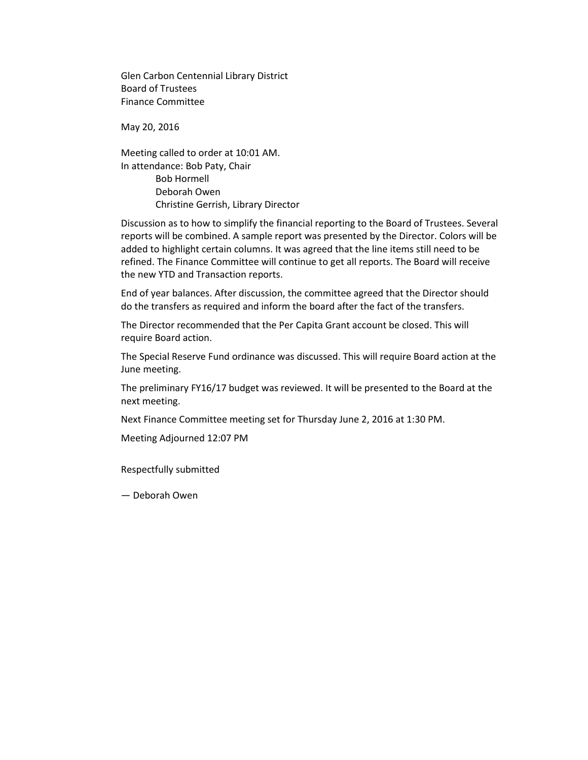Glen Carbon Centennial Library District Board of Trustees Finance Committee

May 20, 2016

Meeting called to order at 10:01 AM. In attendance: Bob Paty, Chair Bob Hormell Deborah Owen Christine Gerrish, Library Director

Discussion as to how to simplify the financial reporting to the Board of Trustees. Several reports will be combined. A sample report was presented by the Director. Colors will be added to highlight certain columns. It was agreed that the line items still need to be refined. The Finance Committee will continue to get all reports. The Board will receive the new YTD and Transaction reports.

End of year balances. After discussion, the committee agreed that the Director should do the transfers as required and inform the board after the fact of the transfers.

The Director recommended that the Per Capita Grant account be closed. This will require Board action.

The Special Reserve Fund ordinance was discussed. This will require Board action at the June meeting.

The preliminary FY16/17 budget was reviewed. It will be presented to the Board at the next meeting.

Next Finance Committee meeting set for Thursday June 2, 2016 at 1:30 PM.

Meeting Adjourned 12:07 PM

Respectfully submitted

— Deborah Owen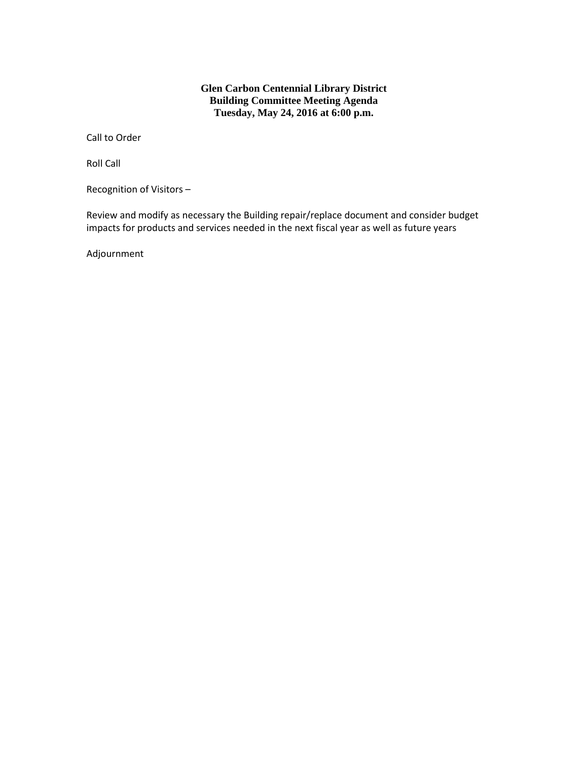#### **Glen Carbon Centennial Library District Building Committee Meeting Agenda Tuesday, May 24, 2016 at 6:00 p.m.**

Call to Order

Roll Call

Recognition of Visitors –

Review and modify as necessary the Building repair/replace document and consider budget impacts for products and services needed in the next fiscal year as well as future years

Adjournment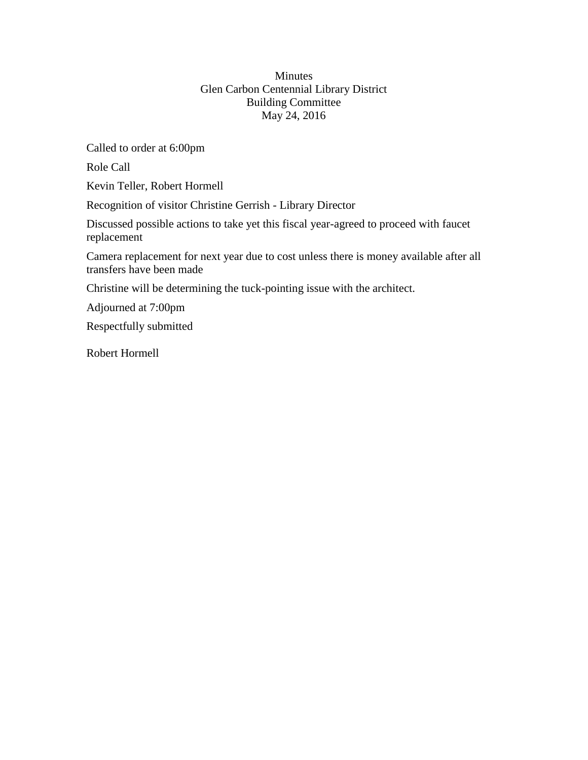### Minutes Glen Carbon Centennial Library District Building Committee May 24, 2016

Called to order at 6:00pm

Role Call

Kevin Teller, Robert Hormell

Recognition of visitor Christine Gerrish - Library Director

Discussed possible actions to take yet this fiscal year-agreed to proceed with faucet replacement

Camera replacement for next year due to cost unless there is money available after all transfers have been made

Christine will be determining the tuck-pointing issue with the architect.

Adjourned at 7:00pm

Respectfully submitted

Robert Hormell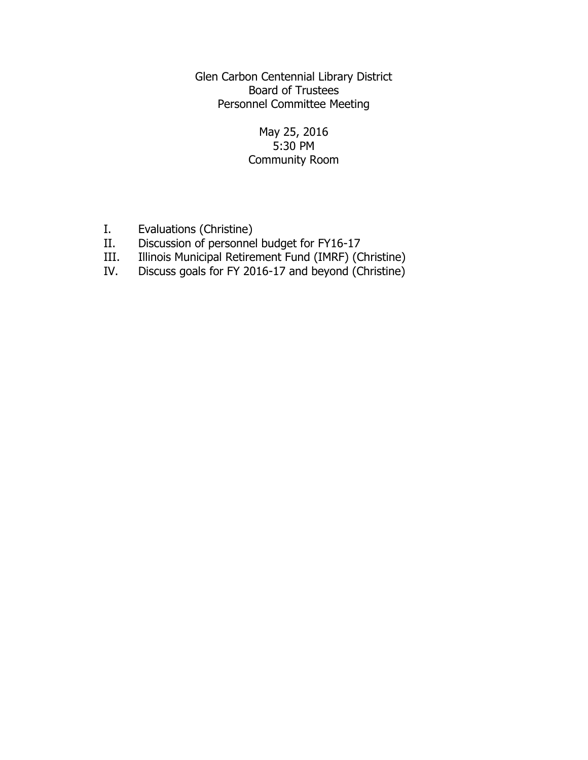Glen Carbon Centennial Library District Board of Trustees Personnel Committee Meeting

## May 25, 2016 5:30 PM Community Room

- I. Evaluations (Christine)<br>II. Discussion of personne
- Discussion of personnel budget for FY16-17
- III. Illinois Municipal Retirement Fund (IMRF) (Christine)
- IV. Discuss goals for FY 2016-17 and beyond (Christine)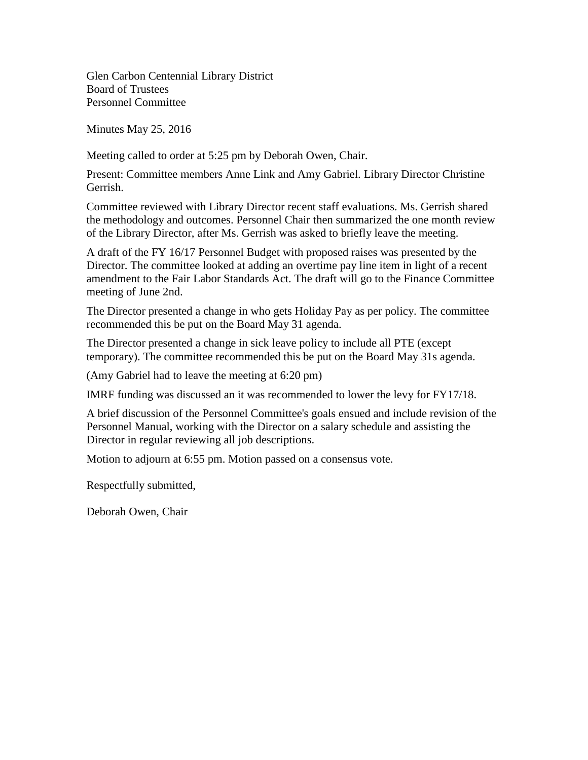Glen Carbon Centennial Library District Board of Trustees Personnel Committee

Minutes May 25, 2016

Meeting called to order at 5:25 pm by Deborah Owen, Chair.

Present: Committee members Anne Link and Amy Gabriel. Library Director Christine Gerrish.

Committee reviewed with Library Director recent staff evaluations. Ms. Gerrish shared the methodology and outcomes. Personnel Chair then summarized the one month review of the Library Director, after Ms. Gerrish was asked to briefly leave the meeting.

A draft of the FY 16/17 Personnel Budget with proposed raises was presented by the Director. The committee looked at adding an overtime pay line item in light of a recent amendment to the Fair Labor Standards Act. The draft will go to the Finance Committee meeting of June 2nd.

The Director presented a change in who gets Holiday Pay as per policy. The committee recommended this be put on the Board May 31 agenda.

The Director presented a change in sick leave policy to include all PTE (except temporary). The committee recommended this be put on the Board May 31s agenda.

(Amy Gabriel had to leave the meeting at 6:20 pm)

IMRF funding was discussed an it was recommended to lower the levy for FY17/18.

A brief discussion of the Personnel Committee's goals ensued and include revision of the Personnel Manual, working with the Director on a salary schedule and assisting the Director in regular reviewing all job descriptions.

Motion to adjourn at 6:55 pm. Motion passed on a consensus vote.

Respectfully submitted,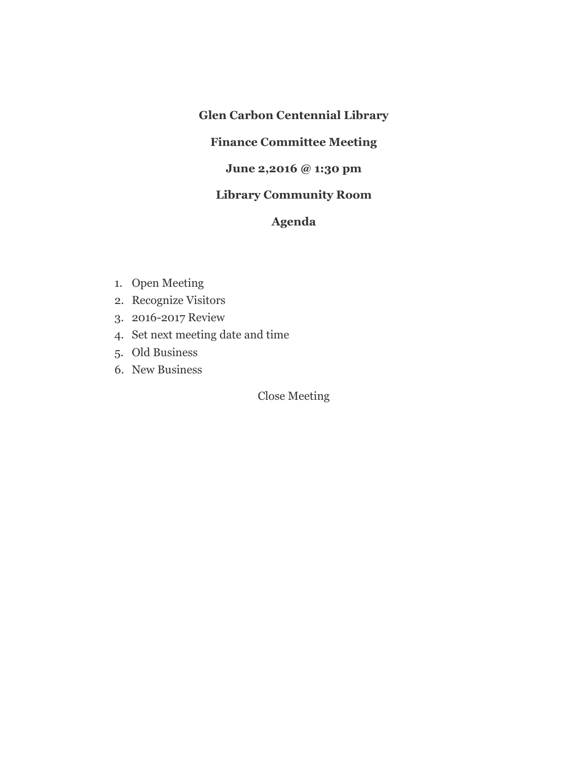## **Glen Carbon Centennial Library**

# **Finance Committee Meeting**

## **June 2,2016 @ 1:30 pm**

# **Library Community Room**

# **Agenda**

- 1. Open Meeting
- 2. Recognize Visitors
- 3. 2016-2017 Review
- 4. Set next meeting date and time
- 5. Old Business
- 6. New Business

Close Meeting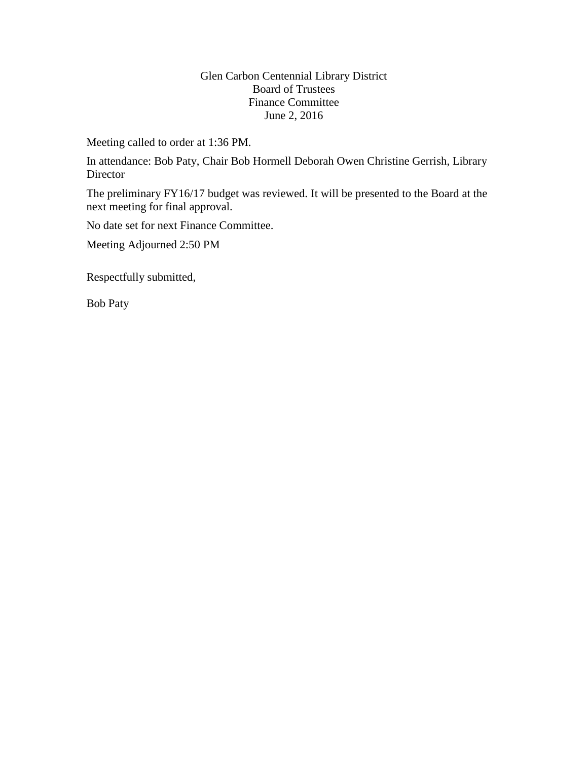### Glen Carbon Centennial Library District Board of Trustees Finance Committee June 2, 2016

Meeting called to order at 1:36 PM.

In attendance: Bob Paty, Chair Bob Hormell Deborah Owen Christine Gerrish, Library **Director** 

The preliminary FY16/17 budget was reviewed. It will be presented to the Board at the next meeting for final approval.

No date set for next Finance Committee.

Meeting Adjourned 2:50 PM

Respectfully submitted,

Bob Paty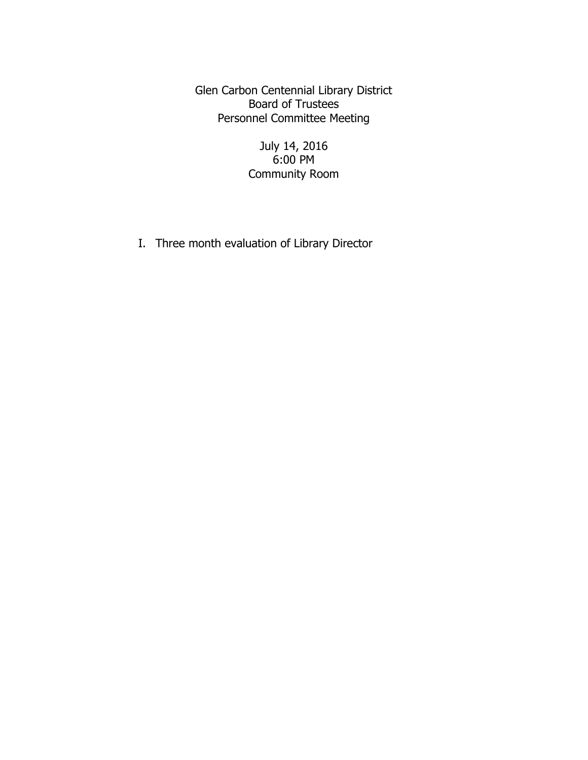Glen Carbon Centennial Library District Board of Trustees Personnel Committee Meeting

> July 14, 2016 6:00 PM Community Room

I. Three month evaluation of Library Director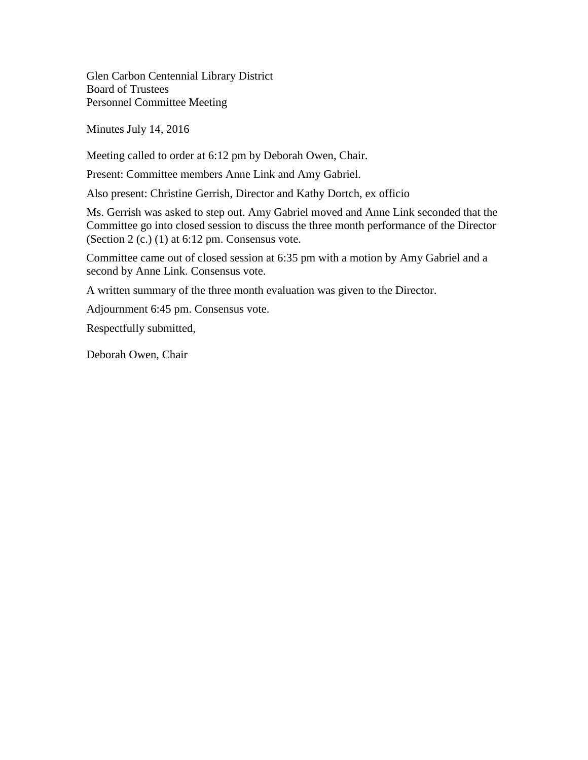Glen Carbon Centennial Library District Board of Trustees Personnel Committee Meeting

Minutes July 14, 2016

Meeting called to order at 6:12 pm by Deborah Owen, Chair.

Present: Committee members Anne Link and Amy Gabriel.

Also present: Christine Gerrish, Director and Kathy Dortch, ex officio

Ms. Gerrish was asked to step out. Amy Gabriel moved and Anne Link seconded that the Committee go into closed session to discuss the three month performance of the Director (Section 2 (c.)  $(1)$  at 6:12 pm. Consensus vote.

Committee came out of closed session at 6:35 pm with a motion by Amy Gabriel and a second by Anne Link. Consensus vote.

A written summary of the three month evaluation was given to the Director.

Adjournment 6:45 pm. Consensus vote.

Respectfully submitted,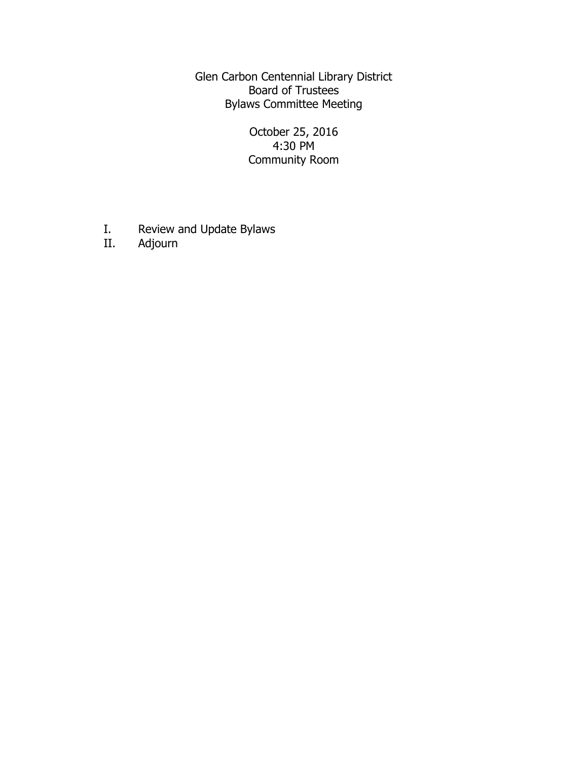Glen Carbon Centennial Library District Board of Trustees Bylaws Committee Meeting

> October 25, 2016 4:30 PM Community Room

- I. Review and Update Bylaws<br>II. Adjourn
- Adjourn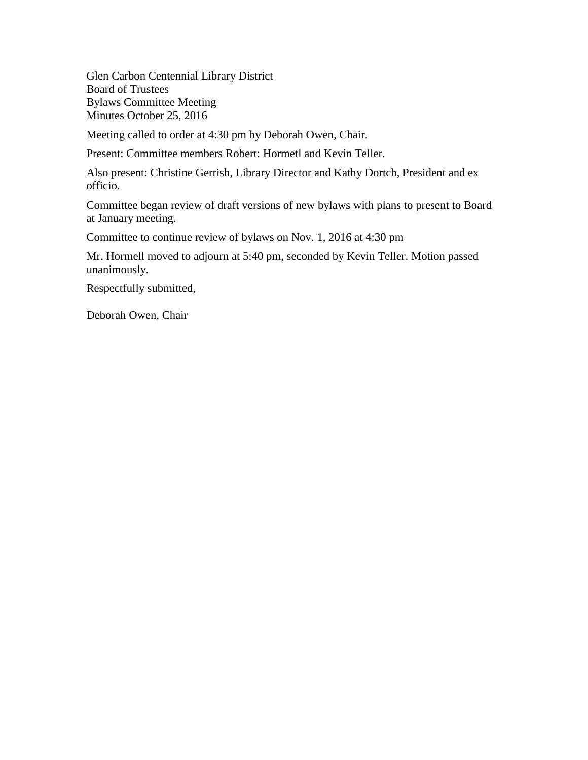Glen Carbon Centennial Library District Board of Trustees Bylaws Committee Meeting Minutes October 25, 2016

Meeting called to order at 4:30 pm by Deborah Owen, Chair.

Present: Committee members Robert: Hormetl and Kevin Teller.

Also present: Christine Gerrish, Library Director and Kathy Dortch, President and ex officio.

Committee began review of draft versions of new bylaws with plans to present to Board at January meeting.

Committee to continue review of bylaws on Nov. 1, 2016 at 4:30 pm

Mr. Hormell moved to adjourn at 5:40 pm, seconded by Kevin Teller. Motion passed unanimously.

Respectfully submitted,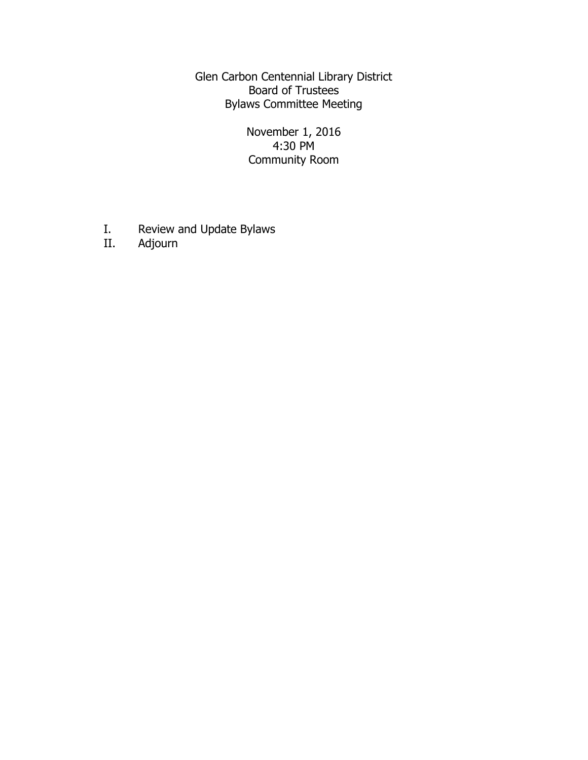Glen Carbon Centennial Library District Board of Trustees Bylaws Committee Meeting

> November 1, 2016 4:30 PM Community Room

- I. Review and Update Bylaws<br>II. Adjourn
- Adjourn